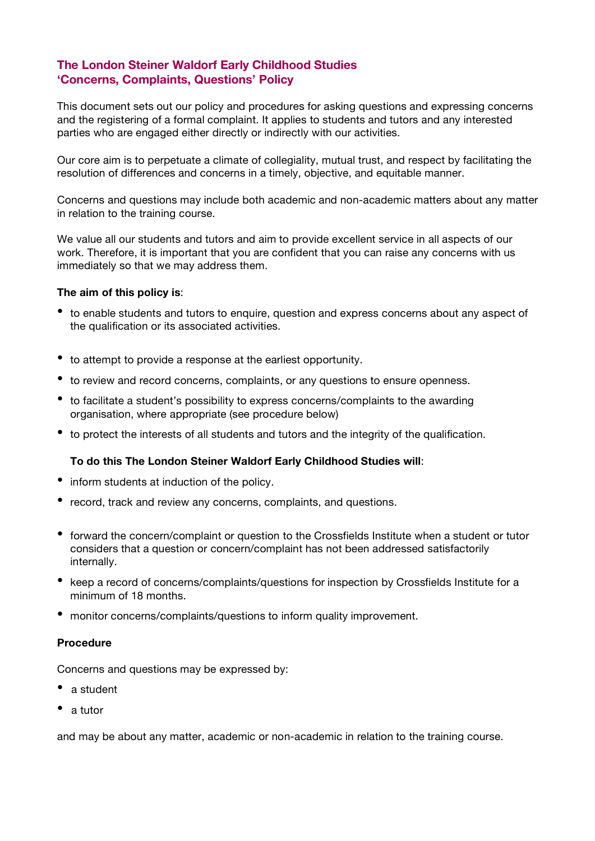# **The London Steiner Waldorf Early Childhood Studies 'Concerns, Complaints, Questions' Policy**

This document sets out our policy and procedures for asking questions and expressing concerns and the registering of a formal complaint. It applies to students and tutors and any interested parties who are engaged either directly or indirectly with our activities.

Our core aim is to perpetuate a climate of collegiality, mutual trust, and respect by facilitating the resolution of differences and concerns in a timely, objective, and equitable manner.

Concerns and questions may include both academic and non-academic matters about any matter in relation to the training course.

We value all our students and tutors and aim to provide excellent service in all aspects of our work. Therefore, it is important that you are confident that you can raise any concerns with us immediately so that we may address them.

## **The aim of this policy is**:

- to enable students and tutors to enquire, question and express concerns about any aspect of the qualification or its associated activities.
- to attempt to provide <sup>a</sup> response at the earliest opportunity.
- to review and record concerns, complaints, or any questions to ensure openness.
- to facilitate <sup>a</sup> student's possibility to express concerns/complaints to the awarding organisation, where appropriate (see procedure below)
- to protect the interests of all students and tutors and the integrity of the qualification.

# **To do this The London Steiner Waldorf Early Childhood Studies will**:

- inform students at induction of the policy.
- record, track and review any concerns, complaints, and questions.
- forward the concern/complaint or question to the Crossfields Institute when <sup>a</sup> student or tutor considers that a question or concern/complaint has not been addressed satisfactorily internally.
- keep a record of concerns/complaints/questions for inspection by Crossfields Institute for a minimum of 18 months.
- monitor concerns/complaints/questions to inform quality improvement.

#### **Procedure**

Concerns and questions may be expressed by:

- a student
- <sup>a</sup> tutor

and may be about any matter, academic or non-academic in relation to the training course.